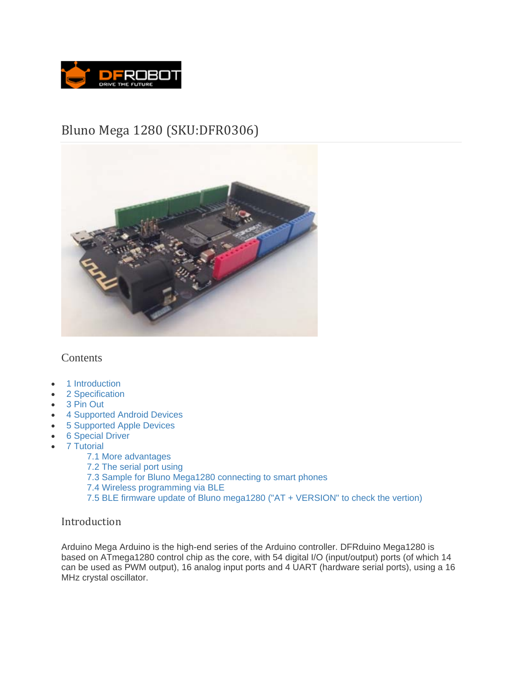

# Bluno Mega 1280 (SKU:DFR0306)



## **Contents**

- 1 Introduction
- 2 Specification
- 3 Pin Out
- 4 Supported Android Devices
- 5 Supported Apple Devices
- **6** Special Driver
- 7 Tutorial
	- 7.1 More advantages
	- 7.2 The serial port using
	- 7.3 Sample for Bluno Mega1280 connecting to smart phones
	- 7.4 Wireless programming via BLE
	- 7.5 BLE firmware update of Bluno mega1280 ("AT + VERSION" to check the vertion)

## Introduction

Arduino Mega Arduino is the high-end series of the Arduino controller. DFRduino Mega1280 is based on ATmega1280 control chip as the core, with 54 digital I/O (input/output) ports (of which 14 can be used as PWM output), 16 analog input ports and 4 UART (hardware serial ports), using a 16 MHz crystal oscillator.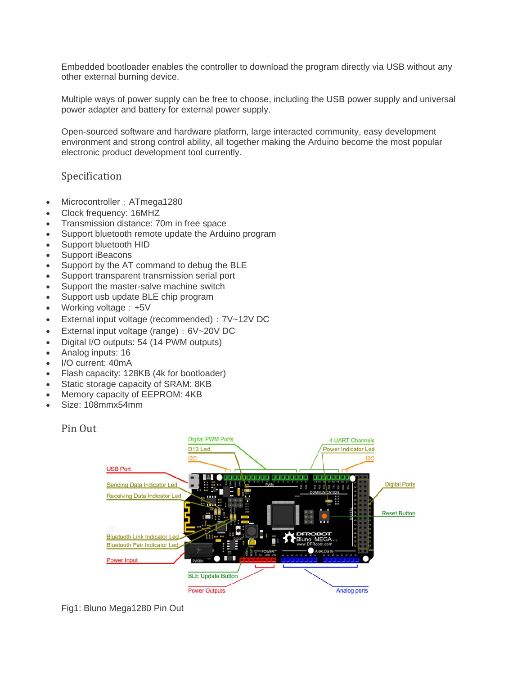Embedded bootloader enables the controller to download the program directly via USB without any other external burning device.

Multiple ways of power supply can be free to choose, including the USB power supply and universal power adapter and battery for external power supply.

Open-sourced software and hardware platform, large interacted community, easy development environment and strong control ability, all together making the Arduino become the most popular electronic product development tool currently.

## Specification

- Microcontroller: ATmega1280
- Clock frequency: 16MHZ
- Transmission distance: 70m in free space
- Support bluetooth remote update the Arduino program
- Support bluetooth HID
- Support iBeacons
- Support by the AT command to debug the BLE
- Support transparent transmission serial port
- Support the master-salve machine switch
- Support usb update BLE chip program
- Working voltage: +5V
- External input voltage (recommended): 7V~12V DC
- External input voltage (range): 6V~20V DC
- Digital I/O outputs: 54 (14 PWM outputs)
- Analog inputs: 16
- I/O current: 40mA
- Flash capacity: 128KB (4k for bootloader)
- Static storage capacity of SRAM: 8KB
- Memory capacity of EEPROM: 4KB
- Size: 108mmx54mm

#### Pin Out



Fig1: Bluno Mega1280 Pin Out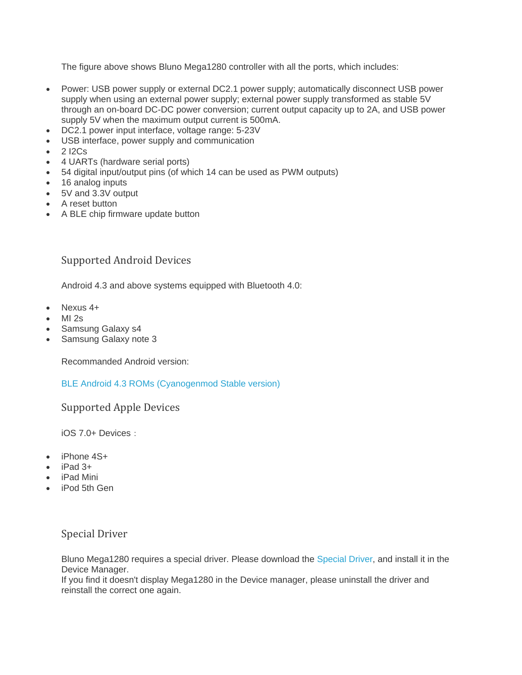The figure above shows Bluno Mega1280 controller with all the ports, which includes:

- Power: USB power supply or external DC2.1 power supply; automatically disconnect USB power supply when using an external power supply; external power supply transformed as stable 5V through an on-board DC-DC power conversion; current output capacity up to 2A, and USB power supply 5V when the maximum output current is 500mA.
- DC2.1 power input interface, voltage range: 5-23V
- USB interface, power supply and communication
- 2 I2Cs
- 4 UARTs (hardware serial ports)
- 54 digital input/output pins (of which 14 can be used as PWM outputs)
- 16 analog inputs
- 5V and 3.3V output
- A reset button
- A BLE chip firmware update button

## Supported Android Devices

Android 4.3 and above systems equipped with Bluetooth 4.0:

- Nexus 4+
- MI 2s
- Samsung Galaxy s4
- Samsung Galaxy note 3

Recommanded Android version:

BLE Android 4.3 ROMs (Cyanogenmod Stable version)

Supported Apple Devices

iOS 7.0+ Devices:

- iPhone 4S+
- iPad 3+
- iPad Mini
- **iPod 5th Gen**

## Special Driver

Bluno Mega1280 requires a special driver. Please download the Special Driver, and install it in the Device Manager.

If you find it doesn't display Mega1280 in the Device manager, please uninstall the driver and reinstall the correct one again.